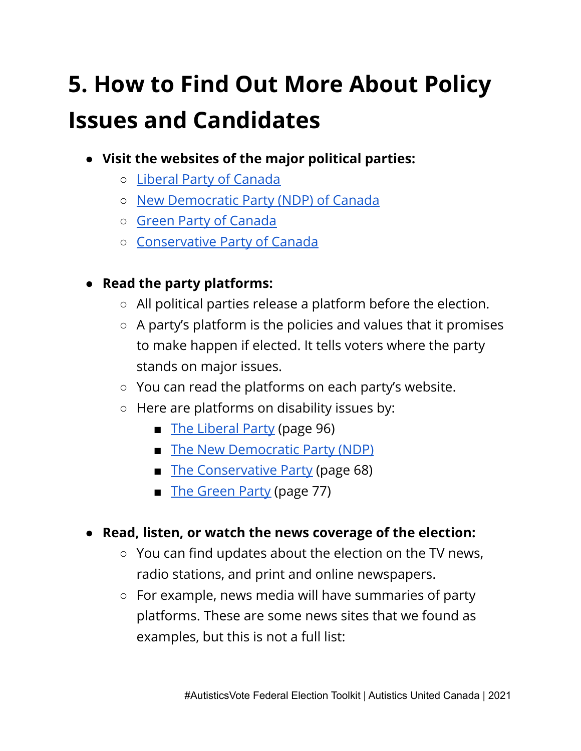## **5. How to Find Out More About Policy Issues and Candidates**

- **● Visit the websites of the major political parties:**
	- Liberal Party of [Canada](https://www.liberal.ca)
	- New [Democratic](https://www.ndp.ca) Party (NDP) of Canada
	- Green Party of [Canada](https://www.greenparty.ca)
	- [Conservative](https://www.conservative.ca/) Party of Canada
- **● Read the party platforms:**
	- All political parties release a platform before the election.
	- A party's platform is the policies and values that it promises to make happen if elected. It tells voters where the party stands on major issues.
	- You can read the platforms on each party's website.
	- Here are platforms on disability issues by:
		- The [Liberal](https://liberal.ca/wp-content/uploads/sites/292/2021/09/Platform-Forward-For-Everyone-large-format.pdf) Party (page 96)
		- The New [Democratic](https://www.ndp.ca/better-care) Party (NDP)
		- The [Conservative](https://cpcassets.conservative.ca/wp-content/uploads/2021/09/08200659/e4cd8c0115c3ea0.pdf) Party (page 68)
		- The [Green](https://www.greenparty.ca/sites/default/files/platform_2021_en_web_-_20210907.pdf) Party (page 77)
- **● Read, listen, or watch the news coverage of the election:**
	- You can find updates about the election on the TV news, radio stations, and print and online newspapers.
	- For example, news media will have summaries of party platforms. These are some news sites that we found as examples, but this is not a full list: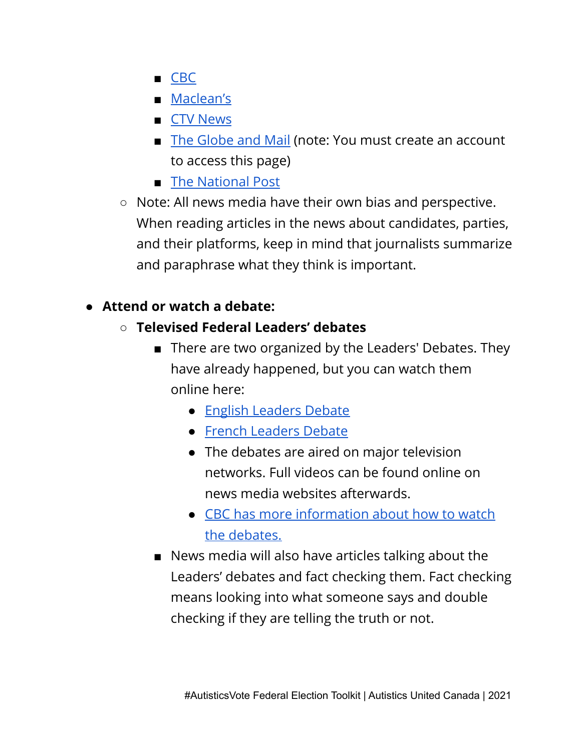- [CBC](https://newsinteractives.cbc.ca/elections/federal/2021/party-platforms/)
- [Maclean's](https://www.macleans.ca/rankings/2021-federal-election-platform-guide/)
- CTV [News](https://election.ctvnews.ca/platforms)
- The [Globe](https://www.theglobeandmail.com/politics/federal-election/) and Mail (note: You must create an account to access this page)
- The [National](https://nationalpost.com/news/politics/election-2021/canada-federal-election-2021-platforms) Post
- Note: All news media have their own bias and perspective. When reading articles in the news about candidates, parties, and their platforms, keep in mind that journalists summarize and paraphrase what they think is important.

## **● Attend or watch a debate:**

- **○ Televised Federal Leaders' debates**
	- There are two organized by the Leaders' Debates. They have already happened, but you can watch them online here:
		- English [Leaders](http://www.youtube.com/watch?v=rq4ihWz9M0g) Debate
		- French [Leaders](http://www.youtube.com/watch?v=2JIzAxYp220) Debate
		- The debates are aired on major television networks. Full videos can be found online on news media websites afterwards.
		- CBC has more [information](https://www.cbc.ca/news/politics/election-leaders-debate-how-to-watch-1.6161382) about how to watch the [debates.](https://www.cbc.ca/news/politics/election-leaders-debate-how-to-watch-1.6161382)
	- News media will also have articles talking about the Leaders' debates and fact checking them. Fact checking means looking into what someone says and double checking if they are telling the truth or not.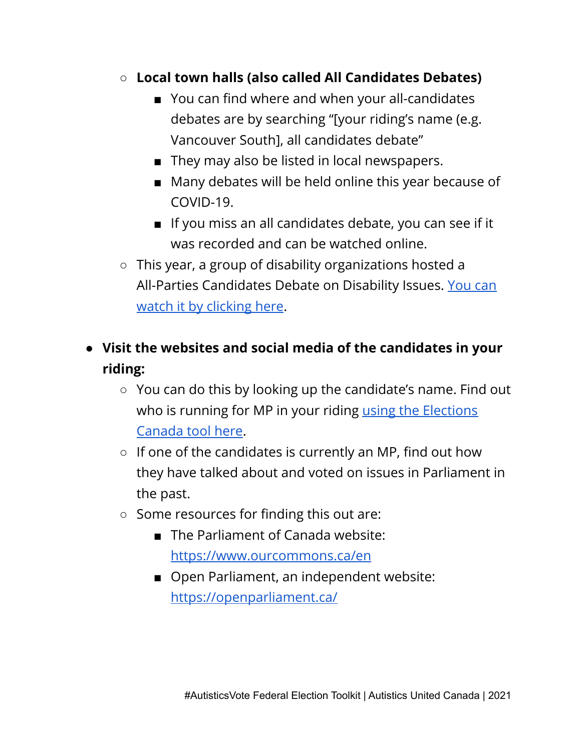- **○ Local town halls (also called All Candidates Debates)**
	- You can find where and when your all-candidates debates are by searching "[your riding's name (e.g. Vancouver South], all candidates debate"
	- They may also be listed in local newspapers.
	- Many debates will be held online this year because of COVID-19.
	- If you miss an all candidates debate, you can see if it was recorded and can be watched online.
- This year, a group of disability organizations hosted a All-Parties Candidates Debate on Disability Issues. [You](https://www.facebook.com/InclusionCanadaFB/videos/2953168524903734) can watch it by [clicking](https://www.facebook.com/InclusionCanadaFB/videos/2953168524903734) here.
- **● Visit the websites and social media of the candidates in your riding:**
	- You can do this by looking up the candidate's name. Find out who is running for MP in your riding using the [Elections](https://www.elections.ca/content2.aspx?section=can&dir=cand/lst&document=index&lang=e) [Canada](https://www.elections.ca/content2.aspx?section=can&dir=cand/lst&document=index&lang=e) tool here.
	- $\circ$  If one of the candidates is currently an MP, find out how they have talked about and voted on issues in Parliament in the past.
	- Some resources for finding this out are:
		- The Parliament of Canada website: <https://www.ourcommons.ca/en>
		- Open Parliament, an independent website: <https://openparliament.ca/>